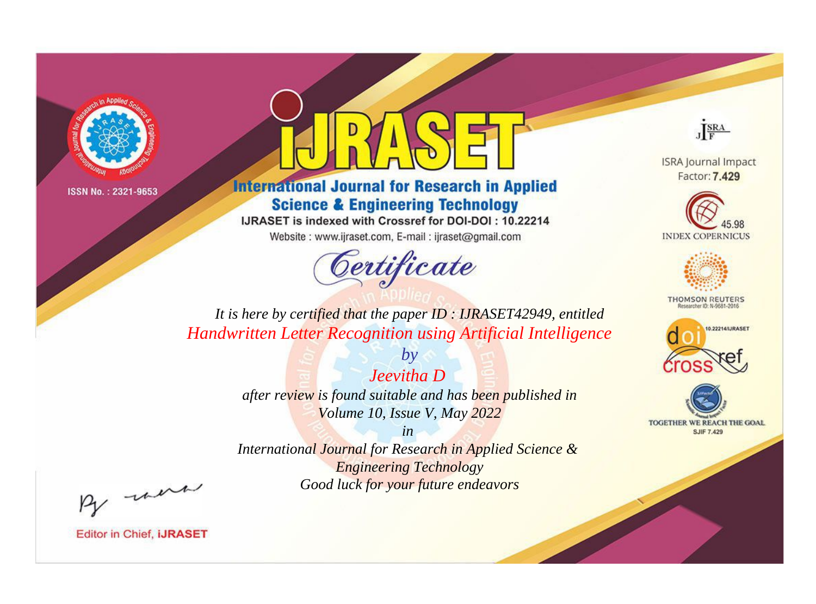

# **International Journal for Research in Applied Science & Engineering Technology**

IJRASET is indexed with Crossref for DOI-DOI: 10.22214

Website: www.ijraset.com, E-mail: ijraset@gmail.com



JERA

**ISRA Journal Impact** Factor: 7.429





**THOMSON REUTERS** 



TOGETHER WE REACH THE GOAL **SJIF 7.429** 

*It is here by certified that the paper ID : IJRASET42949, entitled Handwritten Letter Recognition using Artificial Intelligence*

> *Jeevitha D after review is found suitable and has been published in Volume 10, Issue V, May 2022*

*by*

*in* 

*International Journal for Research in Applied Science & Engineering Technology Good luck for your future endeavors*

By morn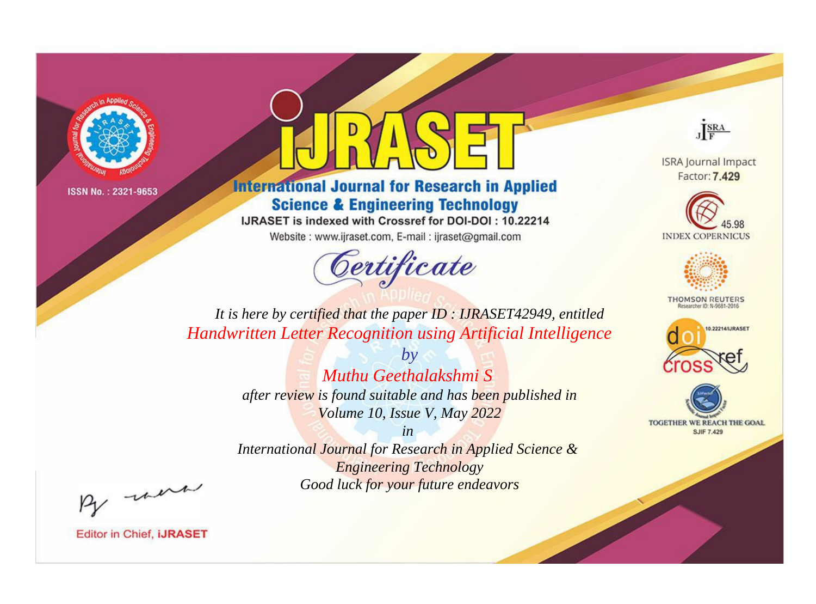

# **International Journal for Research in Applied Science & Engineering Technology**

IJRASET is indexed with Crossref for DOI-DOI: 10.22214

Website: www.ijraset.com, E-mail: ijraset@gmail.com

# Certificate



**ISRA Journal Impact** Factor: 7.429





**THOMSON REUTERS** 



TOGETHER WE REACH THE GOAL **SJIF 7.429** 

It is here by certified that the paper ID: IJRASET42949, entitled Handwritten Letter Recognition using Artificial Intelligence

> $b\nu$ Muthu Geethalakshmi S after review is found suitable and has been published in Volume 10, Issue V, May 2022

 $in$ International Journal for Research in Applied Science & **Engineering Technology** Good luck for your future endeavors

By morn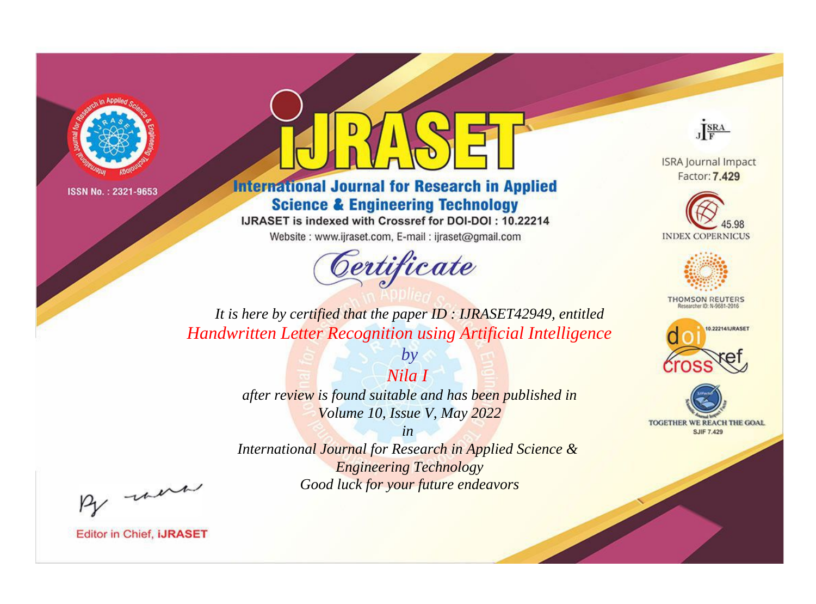

# **International Journal for Research in Applied Science & Engineering Technology**

IJRASET is indexed with Crossref for DOI-DOI: 10.22214

Website: www.ijraset.com, E-mail: ijraset@gmail.com



JERA

**ISRA Journal Impact** Factor: 7.429





**THOMSON REUTERS** 



TOGETHER WE REACH THE GOAL **SJIF 7.429** 

*It is here by certified that the paper ID : IJRASET42949, entitled Handwritten Letter Recognition using Artificial Intelligence*

> *Nila I after review is found suitable and has been published in Volume 10, Issue V, May 2022*

*by*

*in* 

*International Journal for Research in Applied Science & Engineering Technology Good luck for your future endeavors*

By morn